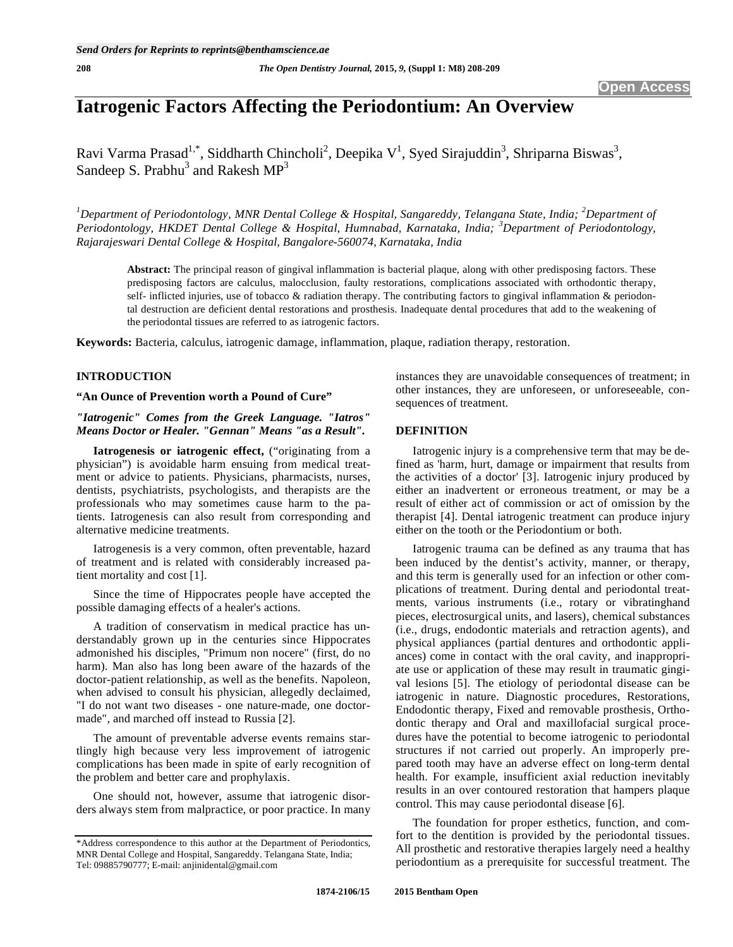# **Iatrogenic Factors Affecting the Periodontium: An Overview**

Ravi Varma Prasad<sup>1,\*</sup>, Siddharth Chincholi<sup>2</sup>, Deepika V<sup>1</sup>, Syed Sirajuddin<sup>3</sup>, Shriparna Biswas<sup>3</sup>, Sandeep S. Prabhu<sup>3</sup> and Rakesh  $MP<sup>3</sup>$ 

<sup>1</sup>Department of Periodontology, MNR Dental College & Hospital, Sangareddy, Telangana State, India; <sup>2</sup>Department of *Periodontology, HKDET Dental College & Hospital, Humnabad, Karnataka, India; <sup>3</sup> Department of Periodontology, Rajarajeswari Dental College & Hospital, Bangalore-560074, Karnataka, India*

**Abstract:** The principal reason of gingival inflammation is bacterial plaque, along with other predisposing factors. These predisposing factors are calculus, malocclusion, faulty restorations, complications associated with orthodontic therapy, self- inflicted injuries, use of tobacco & radiation therapy. The contributing factors to gingival inflammation & periodontal destruction are deficient dental restorations and prosthesis. Inadequate dental procedures that add to the weakening of the periodontal tissues are referred to as iatrogenic factors.

**Keywords:** Bacteria, calculus, iatrogenic damage, inflammation, plaque, radiation therapy, restoration.

# **INTRODUCTION**

## **"An Ounce of Prevention worth a Pound of Cure"**

*"Iatrogenic" Comes from the Greek Language. "Iatros" Means Doctor or Healer. "Gennan" Means "as a Result".* 

**Iatrogenesis or iatrogenic effect,** ("originating from a physician") is avoidable harm ensuing from medical treatment or advice to patients. Physicians, pharmacists, nurses, dentists, psychiatrists, psychologists, and therapists are the professionals who may sometimes cause harm to the patients. Iatrogenesis can also result from corresponding and alternative medicine treatments.

Iatrogenesis is a very common, often preventable, hazard of treatment and is related with considerably increased patient mortality and cost [1].

Since the time of Hippocrates people have accepted the possible damaging effects of a healer's actions.

A tradition of conservatism in medical practice has understandably grown up in the centuries since Hippocrates admonished his disciples, "Primum non nocere" (first, do no harm). Man also has long been aware of the hazards of the doctor-patient relationship, as well as the benefits. Napoleon, when advised to consult his physician, allegedly declaimed, "I do not want two diseases - one nature-made, one doctormade", and marched off instead to Russia [2].

The amount of preventable adverse events remains startlingly high because very less improvement of iatrogenic complications has been made in spite of early recognition of the problem and better care and prophylaxis.

One should not, however, assume that iatrogenic disorders always stem from malpractice, or poor practice. In many instances they are unavoidable consequences of treatment; in other instances, they are unforeseen, or unforeseeable, consequences of treatment.

## **DEFINITION**

Iatrogenic injury is a comprehensive term that may be defined as 'harm, hurt, damage or impairment that results from the activities of a doctor' [3]. Iatrogenic injury produced by either an inadvertent or erroneous treatment, or may be a result of either act of commission or act of omission by the therapist [4]. Dental iatrogenic treatment can produce injury either on the tooth or the Periodontium or both.

Iatrogenic trauma can be defined as any trauma that has been induced by the dentist's activity, manner, or therapy, and this term is generally used for an infection or other complications of treatment. During dental and periodontal treatments, various instruments (i.e., rotary or vibratinghand pieces, electrosurgical units, and lasers), chemical substances (i.e., drugs, endodontic materials and retraction agents), and physical appliances (partial dentures and orthodontic appliances) come in contact with the oral cavity, and inappropriate use or application of these may result in traumatic gingival lesions [5]. The etiology of periodontal disease can be iatrogenic in nature. Diagnostic procedures, Restorations, Endodontic therapy, Fixed and removable prosthesis, Orthodontic therapy and Oral and maxillofacial surgical procedures have the potential to become iatrogenic to periodontal structures if not carried out properly. An improperly prepared tooth may have an adverse effect on long-term dental health. For example, insufficient axial reduction inevitably results in an over contoured restoration that hampers plaque control. This may cause periodontal disease [6].

The foundation for proper esthetics, function, and comfort to the dentition is provided by the periodontal tissues. All prosthetic and restorative therapies largely need a healthy periodontium as a prerequisite for successful treatment. The

<sup>\*</sup>Address correspondence to this author at the Department of Periodontics, MNR Dental College and Hospital, Sangareddy. Telangana State, India; Tel: 09885790777; E-mail: anjinidental@gmail.com